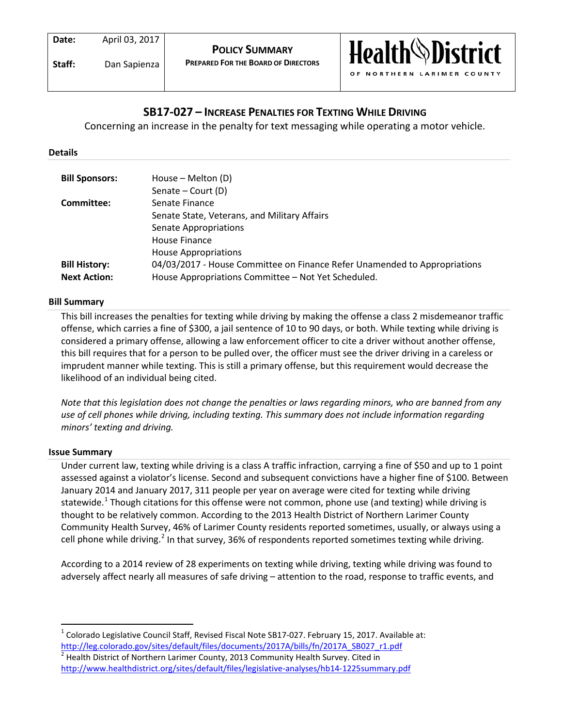**Date:** April 03, 2017

**Staff:** Dan Sapienza



# **SB17-027 – INCREASE PENALTIES FOR TEXTING WHILE DRIVING**

Concerning an increase in the penalty for text messaging while operating a motor vehicle.

#### **Details**

| <b>Bill Sponsors:</b> | House – Melton (D)                                                        |
|-----------------------|---------------------------------------------------------------------------|
|                       | Senate – Court (D)                                                        |
| Committee:            | Senate Finance                                                            |
|                       | Senate State, Veterans, and Military Affairs                              |
|                       | <b>Senate Appropriations</b>                                              |
|                       | House Finance                                                             |
|                       | <b>House Appropriations</b>                                               |
| <b>Bill History:</b>  | 04/03/2017 - House Committee on Finance Refer Unamended to Appropriations |
| <b>Next Action:</b>   | House Appropriations Committee - Not Yet Scheduled.                       |

# **Bill Summary**

This bill increases the penalties for texting while driving by making the offense a class 2 misdemeanor traffic offense, which carries a fine of \$300, a jail sentence of 10 to 90 days, or both. While texting while driving is considered a primary offense, allowing a law enforcement officer to cite a driver without another offense, this bill requires that for a person to be pulled over, the officer must see the driver driving in a careless or imprudent manner while texting. This is still a primary offense, but this requirement would decrease the likelihood of an individual being cited.

*Note that this legislation does not change the penalties or laws regarding minors, who are banned from any use of cell phones while driving, including texting. This summary does not include information regarding minors' texting and driving.*

#### **Issue Summary**

Under current law, texting while driving is a class A traffic infraction, carrying a fine of \$50 and up to 1 point assessed against a violator's license. Second and subsequent convictions have a higher fine of \$100. Between January 2014 and January 2017, 311 people per year on average were cited for texting while driving statewide.<sup>[1](#page-0-0)</sup> Though citations for this offense were not common, phone use (and texting) while driving is thought to be relatively common. According to the 2013 Health District of Northern Larimer County Community Health Survey, 46% of Larimer County residents reported sometimes, usually, or always using a cell phone while driving.<sup>[2](#page-0-1)</sup> In that survey, 36% of respondents reported sometimes texting while driving.

According to a 2014 review of 28 experiments on texting while driving, texting while driving was found to adversely affect nearly all measures of safe driving – attention to the road, response to traffic events, and

<span id="page-0-0"></span> <sup>1</sup> Colorado Legislative Council Staff, Revised Fiscal Note SB17-027. February 15, 2017. Available at: [http://leg.colorado.gov/sites/default/files/documents/2017A/bills/fn/2017A\\_SB027\\_r1.pdf](http://leg.colorado.gov/sites/default/files/documents/2017A/bills/fn/2017A_SB027_r1.pdf)

<span id="page-0-1"></span> $<sup>2</sup>$  Health District of Northern Larimer County, 2013 Community Health Survey. Cited in</sup> <http://www.healthdistrict.org/sites/default/files/legislative-analyses/hb14-1225summary.pdf>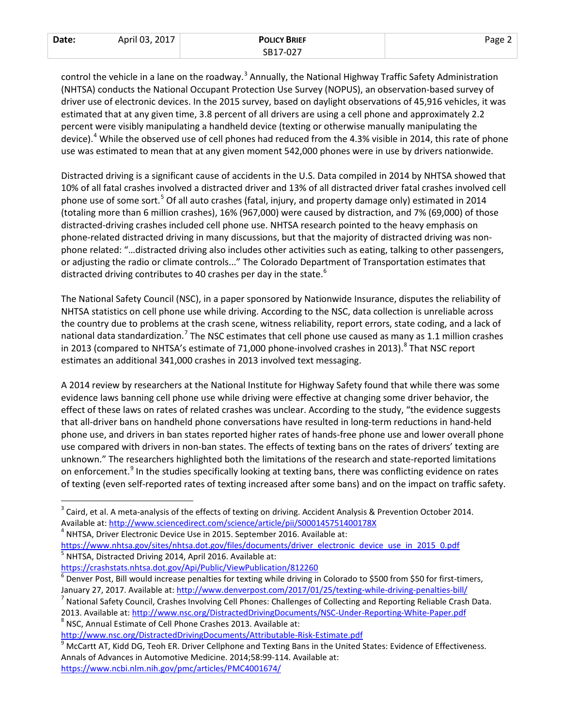| Date: | April 03, 2017 | <b>POLICY BRIEF</b> | Page. |
|-------|----------------|---------------------|-------|
|       |                | SB17-027            |       |

control the vehicle in a lane on the roadway.<sup>[3](#page-1-0)</sup> Annually, the National Highway Traffic Safety Administration (NHTSA) conducts the National Occupant Protection Use Survey (NOPUS), an observation-based survey of driver use of electronic devices. In the 2015 survey, based on daylight observations of 45,916 vehicles, it was estimated that at any given time, 3.8 percent of all drivers are using a cell phone and approximately 2.2 percent were visibly manipulating a handheld device (texting or otherwise manually manipulating the device).<sup>[4](#page-1-1)</sup> While the observed use of cell phones had reduced from the 4.3% visible in 2014, this rate of phone use was estimated to mean that at any given moment 542,000 phones were in use by drivers nationwide.

Distracted driving is a significant cause of accidents in the U.S. Data compiled in 2014 by NHTSA showed that 10% of all fatal crashes involved a distracted driver and 13% of all distracted driver fatal crashes involved cell phone use of some sort.<sup>[5](#page-1-2)</sup> Of all auto crashes (fatal, injury, and property damage only) estimated in 2014 (totaling more than 6 million crashes), 16% (967,000) were caused by distraction, and 7% (69,000) of those distracted-driving crashes included cell phone use. NHTSA research pointed to the heavy emphasis on phone-related distracted driving in many discussions, but that the majority of distracted driving was nonphone related: "…distracted driving also includes other activities such as eating, talking to other passengers, or adjusting the radio or climate controls..." The Colorado Department of Transportation estimates that distracted driving contributes to 40 crashes per day in the state.<sup>[6](#page-1-3)</sup>

The National Safety Council (NSC), in a paper sponsored by Nationwide Insurance, disputes the reliability of NHTSA statistics on cell phone use while driving. According to the NSC, data collection is unreliable across the country due to problems at the crash scene, witness reliability, report errors, state coding, and a lack of national data standardization.<sup>[7](#page-1-4)</sup> The NSC estimates that cell phone use caused as many as 1.1 million crashes in 2013 (compared to NHTSA's estimate of 71,000 phone-involved crashes in 2013).<sup>[8](#page-1-5)</sup> That NSC report estimates an additional 341,000 crashes in 2013 involved text messaging.

A 2014 review by researchers at the National Institute for Highway Safety found that while there was some evidence laws banning cell phone use while driving were effective at changing some driver behavior, the effect of these laws on rates of related crashes was unclear. According to the study, "the evidence suggests that all-driver bans on handheld phone conversations have resulted in long-term reductions in hand-held phone use, and drivers in ban states reported higher rates of hands-free phone use and lower overall phone use compared with drivers in non-ban states. The effects of texting bans on the rates of drivers' texting are unknown." The researchers highlighted both the limitations of the research and state-reported limitations on enforcement.<sup>[9](#page-1-6)</sup> In the studies specifically looking at texting bans, there was conflicting evidence on rates of texting (even self-reported rates of texting increased after some bans) and on the impact on traffic safety.

<span id="page-1-2"></span>[https://www.nhtsa.gov/sites/nhtsa.dot.gov/files/documents/driver\\_electronic\\_device\\_use\\_in\\_2015\\_0.pdf](https://www.nhtsa.gov/sites/nhtsa.dot.gov/files/documents/driver_electronic_device_use_in_2015_0.pdf)<br><sup>5</sup> NHTSA, Distracted Driving 2014, April 2016. Available at:

<span id="page-1-5"></span>

<span id="page-1-0"></span> $3$  Caird, et al. A meta-analysis of the effects of texting on driving. Accident Analysis & Prevention October 2014. Available at:<http://www.sciencedirect.com/science/article/pii/S000145751400178X> 4<br>
<sup>4</sup> NHTSA, Driver Electronic Device Use in 2015. September 2016. Available at:

<span id="page-1-1"></span>

<span id="page-1-3"></span><https://crashstats.nhtsa.dot.gov/Api/Public/ViewPublication/812260><br><sup>6</sup> Denver Post, Bill would increase penalties for texting while driving in Colorado to \$500 from \$50 for first-timers, January 27, 2017. Available at[: http://www.denverpost.com/2017/01/25/texting-while-driving-penalties-bill/](http://www.denverpost.com/2017/01/25/texting-while-driving-penalties-bill/) 7 National Safety Council, Crashes Involving Cell Phones: Challenges of Collecting and Reporting Reliable Crash Dat

<span id="page-1-4"></span><sup>2013.</sup> Available at:<http://www.nsc.org/DistractedDrivingDocuments/NSC-Under-Reporting-White-Paper.pdf> 8 NSC, Annual Estimate of Cell Phone Crashes 2013. Available at:

<span id="page-1-6"></span><http://www.nsc.org/DistractedDrivingDocuments/Attributable-Risk-Estimate.pdf><br><sup>9</sup> McCartt AT, Kidd DG, Teoh ER. Driver Cellphone and Texting Bans in the United States: Evidence of Effectiveness. Annals of Advances in Automotive Medicine. 2014;58:99-114. Available at: <https://www.ncbi.nlm.nih.gov/pmc/articles/PMC4001674/>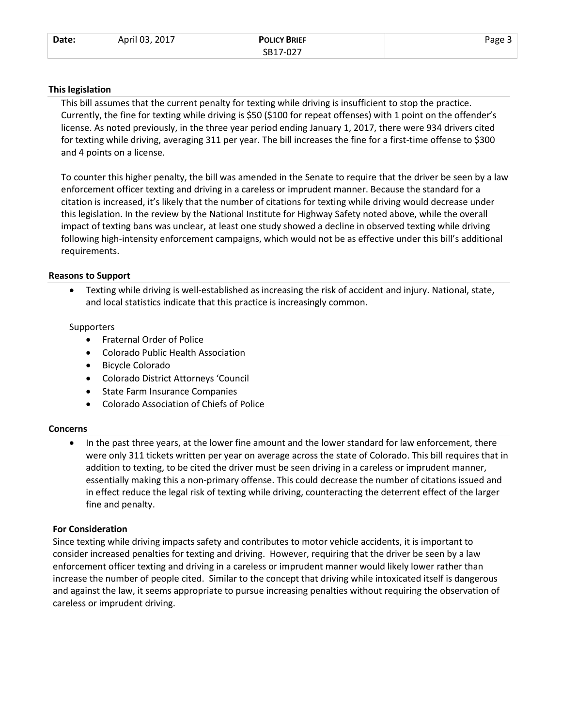| Date: | April 03, 2017 | <b>POLICY BRIEF</b> | Page - |
|-------|----------------|---------------------|--------|
|       |                | SB17-027            |        |

#### **This legislation**

This bill assumes that the current penalty for texting while driving is insufficient to stop the practice. Currently, the fine for texting while driving is \$50 (\$100 for repeat offenses) with 1 point on the offender's license. As noted previously, in the three year period ending January 1, 2017, there were 934 drivers cited for texting while driving, averaging 311 per year. The bill increases the fine for a first-time offense to \$300 and 4 points on a license.

To counter this higher penalty, the bill was amended in the Senate to require that the driver be seen by a law enforcement officer texting and driving in a careless or imprudent manner. Because the standard for a citation is increased, it's likely that the number of citations for texting while driving would decrease under this legislation. In the review by the National Institute for Highway Safety noted above, while the overall impact of texting bans was unclear, at least one study showed a decline in observed texting while driving following high-intensity enforcement campaigns, which would not be as effective under this bill's additional requirements.

## **Reasons to Support**

• Texting while driving is well-established as increasing the risk of accident and injury. National, state, and local statistics indicate that this practice is increasingly common.

## **Supporters**

- Fraternal Order of Police
- Colorado Public Health Association
- Bicycle Colorado
- Colorado District Attorneys 'Council
- State Farm Insurance Companies
- Colorado Association of Chiefs of Police

#### **Concerns**

• In the past three years, at the lower fine amount and the lower standard for law enforcement, there were only 311 tickets written per year on average across the state of Colorado. This bill requires that in addition to texting, to be cited the driver must be seen driving in a careless or imprudent manner, essentially making this a non-primary offense. This could decrease the number of citations issued and in effect reduce the legal risk of texting while driving, counteracting the deterrent effect of the larger fine and penalty.

# **For Consideration**

Since texting while driving impacts safety and contributes to motor vehicle accidents, it is important to consider increased penalties for texting and driving. However, requiring that the driver be seen by a law enforcement officer texting and driving in a careless or imprudent manner would likely lower rather than increase the number of people cited. Similar to the concept that driving while intoxicated itself is dangerous and against the law, it seems appropriate to pursue increasing penalties without requiring the observation of careless or imprudent driving.